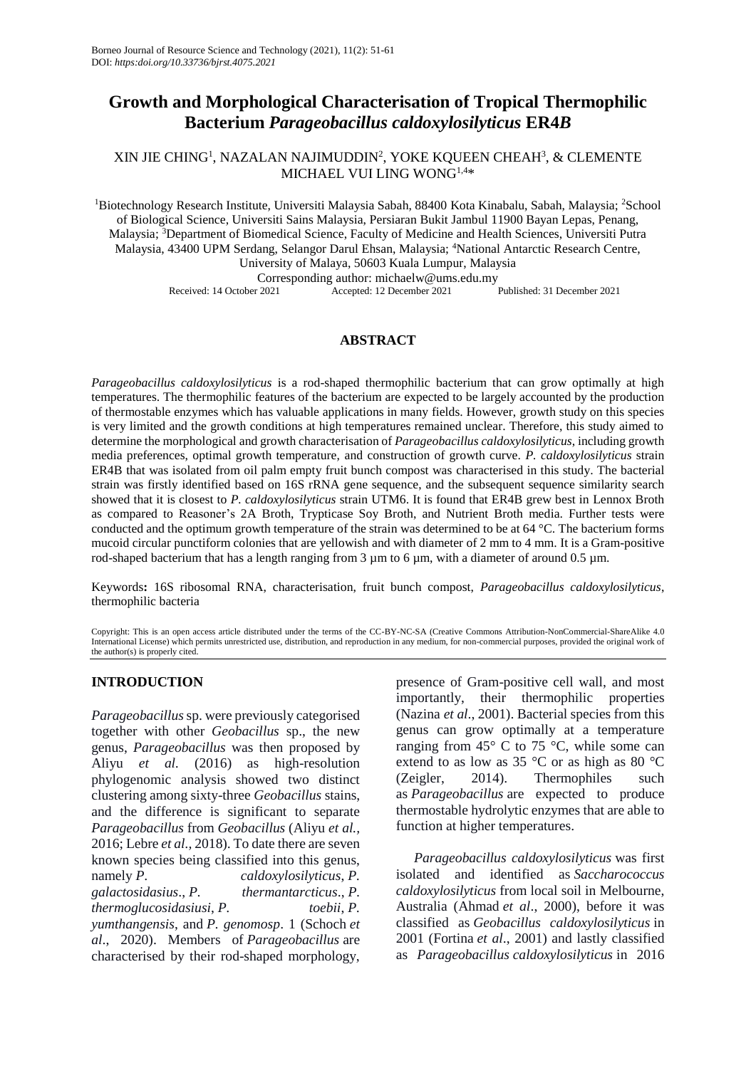# **Growth and Morphological Characterisation of Tropical Thermophilic Bacterium** *Parageobacillus caldoxylosilyticus* **ER4***B*

# XIN JIE CHING<sup>1</sup>, NAZALAN NAJIMUDDIN<sup>2</sup>, YOKE KQUEEN CHEAH<sup>3</sup>, & CLEMENTE MICHAEL VUI LING WONG1,4\*

<sup>1</sup>Biotechnology Research Institute, Universiti Malaysia Sabah, 88400 Kota Kinabalu, Sabah, Malaysia; <sup>2</sup>School of Biological Science, Universiti Sains Malaysia, Persiaran Bukit Jambul 11900 Bayan Lepas, Penang, Malaysia; <sup>3</sup>Department of Biomedical Science, Faculty of Medicine and Health Sciences, Universiti Putra Malaysia, 43400 UPM Serdang, Selangor Darul Ehsan, Malaysia; <sup>4</sup>National Antarctic Research Centre, University of Malaya, 50603 Kuala Lumpur, Malaysia Corresponding author: michaelw@ums.edu.my Received: 14 October 2021 Accepted: 12 December 2021 Published: 31 December 2021

### **ABSTRACT**

*Parageobacillus caldoxylosilyticus* is a rod-shaped thermophilic bacterium that can grow optimally at high temperatures. The thermophilic features of the bacterium are expected to be largely accounted by the production of thermostable enzymes which has valuable applications in many fields. However, growth study on this species is very limited and the growth conditions at high temperatures remained unclear. Therefore, this study aimed to determine the morphological and growth characterisation of *Parageobacillus caldoxylosilyticus*, including growth media preferences, optimal growth temperature, and construction of growth curve. *P. caldoxylosilyticus* strain ER4B that was isolated from oil palm empty fruit bunch compost was characterised in this study. The bacterial strain was firstly identified based on 16S rRNA gene sequence, and the subsequent sequence similarity search showed that it is closest to *P. caldoxylosilyticus* strain UTM6. It is found that ER4B grew best in Lennox Broth as compared to Reasoner's 2A Broth, Trypticase Soy Broth, and Nutrient Broth media. Further tests were conducted and the optimum growth temperature of the strain was determined to be at 64 °C. The bacterium forms mucoid circular punctiform colonies that are yellowish and with diameter of 2 mm to 4 mm. It is a Gram-positive rod-shaped bacterium that has a length ranging from 3  $\mu$ m to 6  $\mu$ m, with a diameter of around 0.5  $\mu$ m.

Keywords**:** 16S ribosomal RNA, characterisation, fruit bunch compost, *Parageobacillus caldoxylosilyticus*, thermophilic bacteria

Copyright: This is an open access article distributed under the terms of the CC-BY-NC-SA (Creative Commons Attribution-NonCommercial-ShareAlike 4.0 International License) which permits unrestricted use, distribution, and reproduction in any medium, for non-commercial purposes, provided the original work of the author(s) is properly cited.

# **INTRODUCTION**

*Parageobacillus*sp. were previously categorised together with other *Geobacillus* sp., the new genus, *Parageobacillus* was then proposed by Aliyu *et al.* (2016) as high-resolution phylogenomic analysis showed two distinct clustering among sixty-three *Geobacillus* stains, and the difference is significant to separate *Parageobacillus* from *Geobacillus* (Aliyu *et al.,* 2016; Lebre *et al.,* 2018). To date there are seven known species being classified into this genus, namely *P. caldoxylosilyticus*, *P. galactosidasius*., *P. thermantarcticus*., *P. thermoglucosidasiusi*, *P. toebii*, *P. yumthangensis*, and *P. genomosp*. 1 (Schoch *et al*., 2020). Members of *Parageobacillus* are characterised by their rod-shaped morphology,

presence of Gram-positive cell wall, and most importantly, their thermophilic properties (Nazina *et al*., 2001). Bacterial species from this genus can grow optimally at a temperature ranging from  $45^{\circ}$  C to  $75^{\circ}$ C, while some can extend to as low as 35 °C or as high as 80 °C (Zeigler, 2014). Thermophiles such as *Parageobacillus* are expected to produce thermostable hydrolytic enzymes that are able to function at higher temperatures.

*Parageobacillus caldoxylosilyticus* was first isolated and identified as *Saccharococcus caldoxylosilyticus* from local soil in Melbourne, Australia (Ahmad *et al*., 2000), before it was classified as *Geobacillus caldoxylosilyticus* in 2001 (Fortina *et al*., 2001) and lastly classified as *Parageobacillus caldoxylosilyticus* in 2016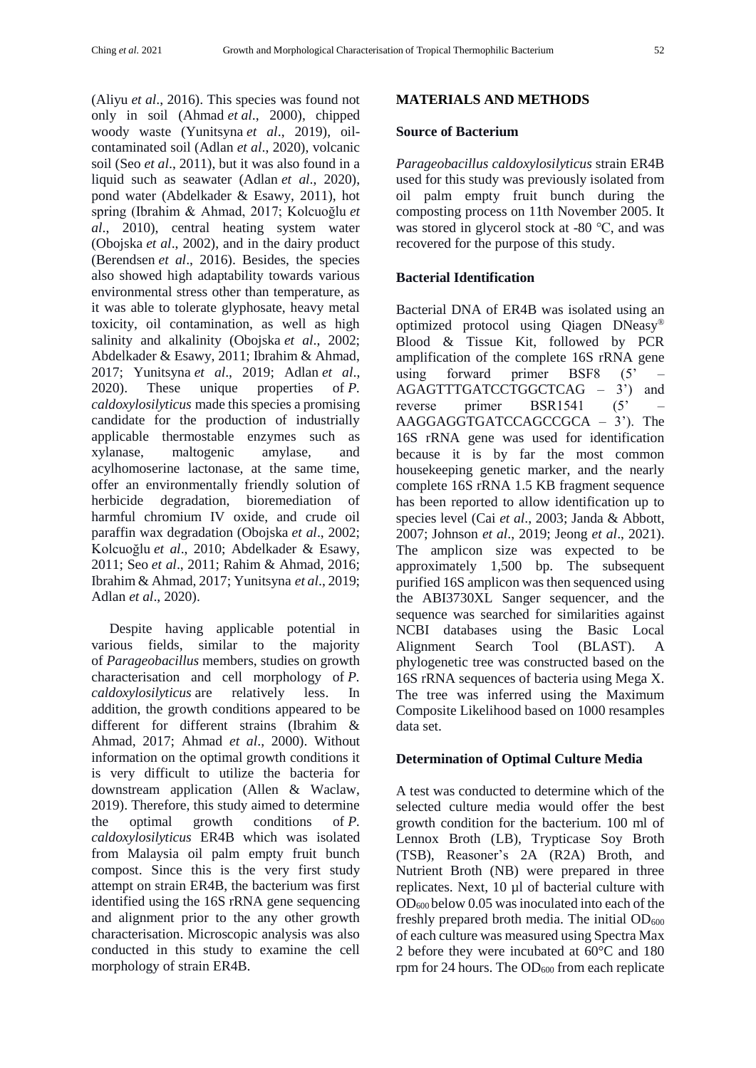(Aliyu *et al*., 2016). This species was found not only in soil (Ahmad *et al*., 2000), chipped woody waste (Yunitsyna *et al*., 2019), oilcontaminated soil (Adlan *et al*., 2020), volcanic soil (Seo *et al*., 2011), but it was also found in a liquid such as seawater (Adlan *et al*., 2020), pond water (Abdelkader & Esawy, 2011), hot spring (Ibrahim & Ahmad, 2017; Kolcuoğlu *et al*., 2010), central heating system water (Obojska *et al*., 2002), and in the dairy product (Berendsen *et al*., 2016). Besides, the species also showed high adaptability towards various environmental stress other than temperature, as it was able to tolerate glyphosate, heavy metal toxicity, oil contamination, as well as high salinity and alkalinity (Obojska *et al*., 2002; Abdelkader & Esawy, 2011; Ibrahim & Ahmad, 2017; Yunitsyna *et al*., 2019; Adlan *et al*., 2020). These unique properties of *P. caldoxylosilyticus* made this species a promising candidate for the production of industrially applicable thermostable enzymes such as xylanase, maltogenic amylase, and acylhomoserine lactonase, at the same time, offer an environmentally friendly solution of herbicide degradation, bioremediation of harmful chromium IV oxide, and crude oil paraffin wax degradation (Obojska *et al*., 2002; Kolcuoğlu *et al*., 2010; Abdelkader & Esawy, 2011; Seo *et al*., 2011; Rahim & Ahmad, 2016; Ibrahim & Ahmad, 2017; Yunitsyna *et al*., 2019; Adlan *et al*., 2020).

Despite having applicable potential in various fields, similar to the majority of *Parageobacillus* members, studies on growth characterisation and cell morphology of *P. caldoxylosilyticus* are relatively less. In addition, the growth conditions appeared to be different for different strains (Ibrahim & Ahmad, 2017; Ahmad *et al*., 2000). Without information on the optimal growth conditions it is very difficult to utilize the bacteria for downstream application (Allen & Waclaw, 2019). Therefore, this study aimed to determine the optimal growth conditions of *P. caldoxylosilyticus* ER4B which was isolated from Malaysia oil palm empty fruit bunch compost. Since this is the very first study attempt on strain ER4B, the bacterium was first identified using the 16S rRNA gene sequencing and alignment prior to the any other growth characterisation. Microscopic analysis was also conducted in this study to examine the cell morphology of strain ER4B.

# **MATERIALS AND METHODS**

### **Source of Bacterium**

*Parageobacillus caldoxylosilyticus* strain ER4B used for this study was previously isolated from oil palm empty fruit bunch during the composting process on 11th November 2005. It was stored in glycerol stock at -80 ℃, and was recovered for the purpose of this study.

# **Bacterial Identification**

Bacterial DNA of ER4B was isolated using an optimized protocol using Qiagen DNeasy® Blood & Tissue Kit, followed by PCR amplification of the complete 16S rRNA gene using forward primer BSF8 (5' AGAGTTTGATCCTGGCTCAG – 3') and reverse primer BSR1541 (5' AAGGAGGTGATCCAGCCGCA – 3'). The 16S rRNA gene was used for identification because it is by far the most common housekeeping genetic marker, and the nearly complete 16S rRNA 1.5 KB fragment sequence has been reported to allow identification up to species level (Cai *et al*., 2003; Janda & Abbott, 2007; Johnson *et al*., 2019; Jeong *et al*., 2021). The amplicon size was expected to be approximately 1,500 bp. The subsequent purified 16S amplicon was then sequenced using the ABI3730XL Sanger sequencer, and the sequence was searched for similarities against NCBI databases using the Basic Local Alignment Search Tool (BLAST). A phylogenetic tree was constructed based on the 16S rRNA sequences of bacteria using Mega X. The tree was inferred using the Maximum Composite Likelihood based on 1000 resamples data set.

### **Determination of Optimal Culture Media**

A test was conducted to determine which of the selected culture media would offer the best growth condition for the bacterium. 100 ml of Lennox Broth (LB), Trypticase Soy Broth (TSB), Reasoner's 2A (R2A) Broth, and Nutrient Broth (NB) were prepared in three replicates. Next, 10 µl of bacterial culture with OD<sup>600</sup> below 0.05 was inoculated into each of the freshly prepared broth media. The initial  $OD_{600}$ of each culture was measured using Spectra Max 2 before they were incubated at 60°C and 180 rpm for 24 hours. The  $OD_{600}$  from each replicate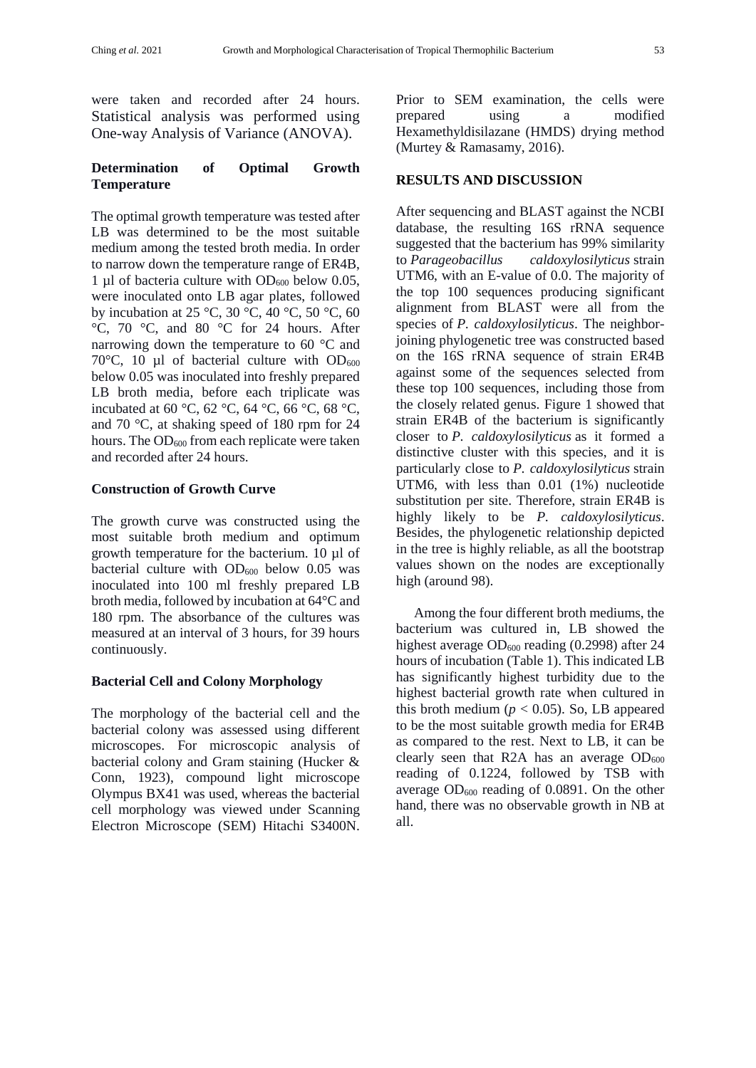were taken and recorded after 24 hours. Statistical analysis was performed using One-way Analysis of Variance (ANOVA).

# **Determination of Optimal Growth Temperature**

The optimal growth temperature was tested after LB was determined to be the most suitable medium among the tested broth media. In order to narrow down the temperature range of ER4B, 1 µl of bacteria culture with  $OD_{600}$  below 0.05, were inoculated onto LB agar plates, followed by incubation at 25 °C, 30 °C, 40 °C, 50 °C, 60 °C, 70 °C, and 80 °C for 24 hours. After narrowing down the temperature to 60 °C and 70 $\degree$ C, 10 µl of bacterial culture with OD $_{600}$ below 0.05 was inoculated into freshly prepared LB broth media, before each triplicate was incubated at 60 °C, 62 °C, 64 °C, 66 °C, 68 °C, and 70 °C, at shaking speed of 180 rpm for 24 hours. The  $OD_{600}$  from each replicate were taken and recorded after 24 hours.

### **Construction of Growth Curve**

The growth curve was constructed using the most suitable broth medium and optimum growth temperature for the bacterium. 10 µl of bacterial culture with  $OD_{600}$  below 0.05 was inoculated into 100 ml freshly prepared LB broth media, followed by incubation at 64°C and 180 rpm. The absorbance of the cultures was measured at an interval of 3 hours, for 39 hours continuously.

#### **Bacterial Cell and Colony Morphology**

The morphology of the bacterial cell and the bacterial colony was assessed using different microscopes. For microscopic analysis of bacterial colony and Gram staining (Hucker & Conn, 1923), compound light microscope Olympus BX41 was used, whereas the bacterial cell morphology was viewed under Scanning Electron Microscope (SEM) Hitachi S3400N. Prior to SEM examination, the cells were prepared using a modified Hexamethyldisilazane (HMDS) drying method (Murtey & Ramasamy, 2016).

#### **RESULTS AND DISCUSSION**

After sequencing and BLAST against the NCBI database, the resulting 16S rRNA sequence suggested that the bacterium has 99% similarity to *Parageobacillus caldoxylosilyticus* strain UTM6, with an E-value of 0.0. The majority of the top 100 sequences producing significant alignment from BLAST were all from the species of *P. caldoxylosilyticus*. The neighborjoining phylogenetic tree was constructed based on the 16S rRNA sequence of strain ER4B against some of the sequences selected from these top 100 sequences, including those from the closely related genus. Figure 1 showed that strain ER4B of the bacterium is significantly closer to *P. caldoxylosilyticus* as it formed a distinctive cluster with this species, and it is particularly close to *P. caldoxylosilyticus* strain UTM6, with less than 0.01 (1%) nucleotide substitution per site. Therefore, strain ER4B is highly likely to be *P. caldoxylosilyticus*. Besides, the phylogenetic relationship depicted in the tree is highly reliable, as all the bootstrap values shown on the nodes are exceptionally high (around 98).

Among the four different broth mediums, the bacterium was cultured in, LB showed the highest average  $OD_{600}$  reading (0.2998) after 24 hours of incubation (Table 1). This indicated LB has significantly highest turbidity due to the highest bacterial growth rate when cultured in this broth medium  $(p < 0.05)$ . So, LB appeared to be the most suitable growth media for ER4B as compared to the rest. Next to LB, it can be clearly seen that R2A has an average  $OD_{600}$ reading of 0.1224, followed by TSB with average  $OD_{600}$  reading of 0.0891. On the other hand, there was no observable growth in NB at all.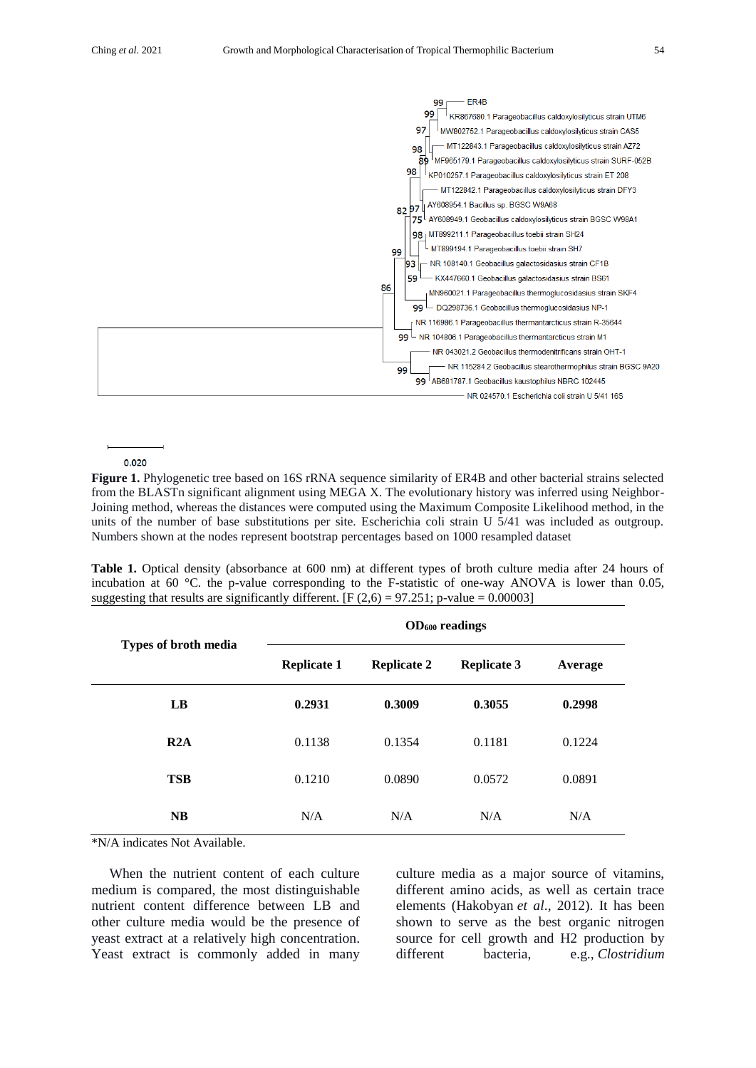

#### 0.020

**Figure 1.** Phylogenetic tree based on 16S rRNA sequence similarity of ER4B and other bacterial strains selected from the BLASTn significant alignment using MEGA X. The evolutionary history was inferred using Neighbor-Joining method, whereas the distances were computed using the Maximum Composite Likelihood method, in the units of the number of base substitutions per site. Escherichia coli strain U 5/41 was included as outgroup. Numbers shown at the nodes represent bootstrap percentages based on 1000 resampled dataset

**Table 1.** Optical density (absorbance at 600 nm) at different types of broth culture media after 24 hours of incubation at 60 °C. the p-value corresponding to the F-statistic of one-way ANOVA is lower than 0.05, suggesting that results are significantly different. [F  $(2,6) = 97.251$ ; p-value = 0.00003]

| Types of broth media | OD <sub>600</sub> readings |                    |                    |         |  |
|----------------------|----------------------------|--------------------|--------------------|---------|--|
|                      | <b>Replicate 1</b>         | <b>Replicate 2</b> | <b>Replicate 3</b> | Average |  |
| LB                   | 0.2931                     | 0.3009             | 0.3055             | 0.2998  |  |
| R2A                  | 0.1138                     | 0.1354             | 0.1181             | 0.1224  |  |
| <b>TSB</b>           | 0.1210                     | 0.0890             | 0.0572             | 0.0891  |  |
| <b>NB</b>            | N/A                        | N/A                | N/A                | N/A     |  |

\*N/A indicates Not Available.

When the nutrient content of each culture medium is compared, the most distinguishable nutrient content difference between LB and other culture media would be the presence of yeast extract at a relatively high concentration. Yeast extract is commonly added in many culture media as a major source of vitamins, different amino acids, as well as certain trace elements (Hakobyan *et al*., 2012). It has been shown to serve as the best organic nitrogen source for cell growth and H2 production by different bacteria, e.g., *Clostridium*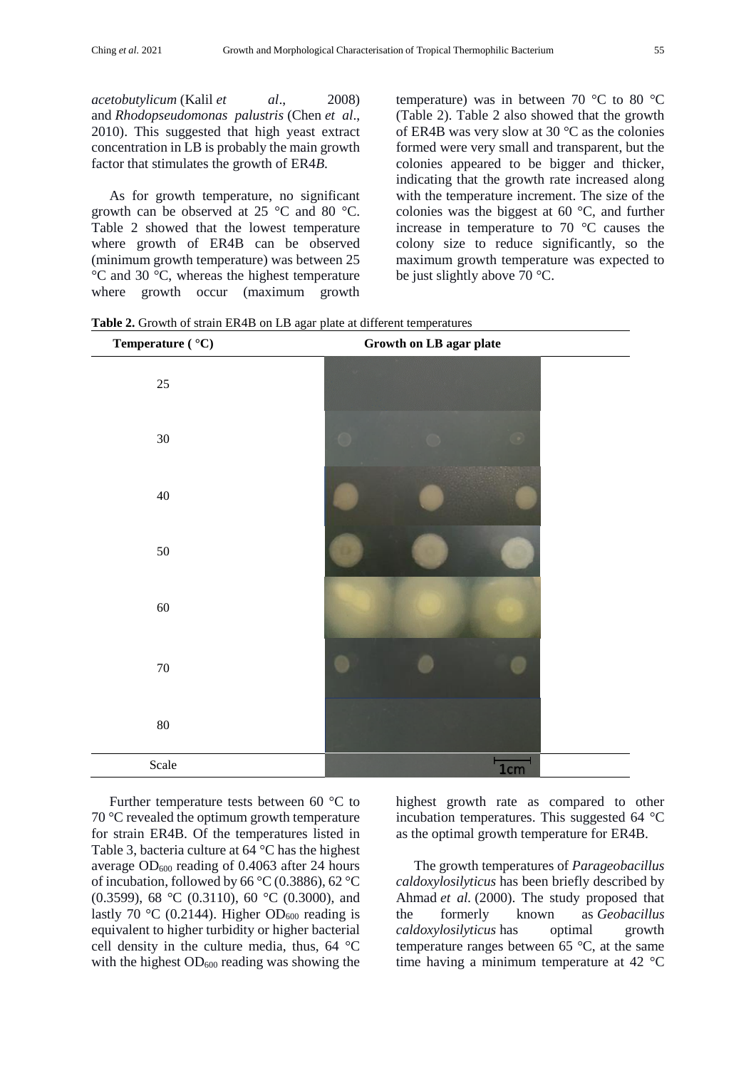*acetobutylicum* (Kalil *et al*., 2008) and *Rhodopseudomonas palustris* (Chen *et al*., 2010). This suggested that high yeast extract concentration in LB is probably the main growth factor that stimulates the growth of ER4*B*.

As for growth temperature, no significant growth can be observed at 25 °C and 80 °C. Table 2 showed that the lowest temperature where growth of ER4B can be observed (minimum growth temperature) was between 25 °C and 30 °C, whereas the highest temperature where growth occur (maximum growth temperature) was in between 70 °C to 80 °C (Table 2). Table 2 also showed that the growth of ER4B was very slow at 30 °C as the colonies formed were very small and transparent, but the colonies appeared to be bigger and thicker, indicating that the growth rate increased along with the temperature increment. The size of the colonies was the biggest at 60 °C, and further increase in temperature to 70 °C causes the colony size to reduce significantly, so the maximum growth temperature was expected to be just slightly above 70 °C.

**Table 2.** Growth of strain ER4B on LB agar plate at different temperatures

| Temperature ( $^{\circ}$ C) | Growth on LB agar plate |
|-----------------------------|-------------------------|
| $25\,$                      |                         |
| $30\,$                      |                         |
| $40\,$                      |                         |
| 50                          |                         |
| 60                          |                         |
| $70\,$                      |                         |
| $80\,$                      |                         |
| Scale                       | 1cm                     |

Further temperature tests between 60 °C to 70 °C revealed the optimum growth temperature for strain ER4B. Of the temperatures listed in Table 3, bacteria culture at 64 °C has the highest average  $OD_{600}$  reading of 0.4063 after 24 hours of incubation, followed by 66 °C (0.3886), 62 °C (0.3599), 68 °C (0.3110), 60 °C (0.3000), and lastly 70 °C (0.2144). Higher OD<sub>600</sub> reading is equivalent to higher turbidity or higher bacterial cell density in the culture media, thus, 64 °C with the highest  $OD_{600}$  reading was showing the

highest growth rate as compared to other incubation temperatures. This suggested 64 °C as the optimal growth temperature for ER4B.

The growth temperatures of *Parageobacillus caldoxylosilyticus* has been briefly described by Ahmad *et al.* (2000). The study proposed that the formerly known as *Geobacillus caldoxylosilyticus* has optimal growth temperature ranges between 65 °C, at the same time having a minimum temperature at 42 °C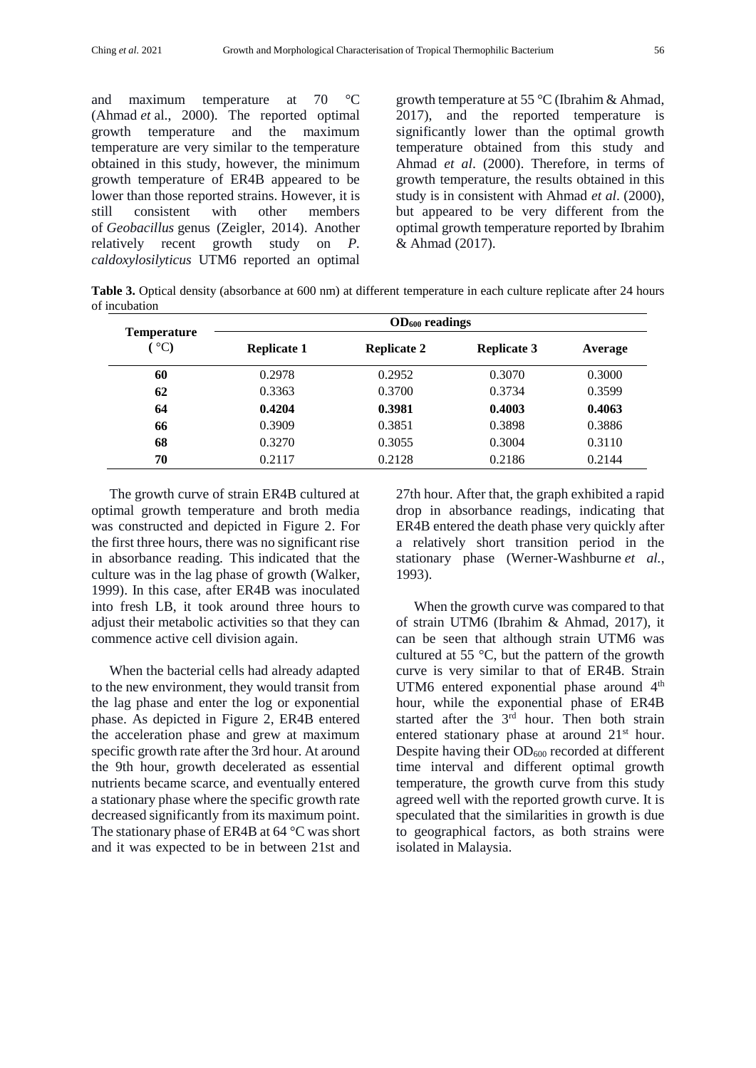and maximum temperature at 70 °C (Ahmad *et* al., 2000). The reported optimal growth temperature and the maximum temperature are very similar to the temperature obtained in this study, however, the minimum growth temperature of ER4B appeared to be lower than those reported strains. However, it is still consistent with other members of *Geobacillus* genus (Zeigler, 2014). Another relatively recent growth study on *P. caldoxylosilyticus* UTM6 reported an optimal growth temperature at 55 °C (Ibrahim & Ahmad, 2017), and the reported temperature is significantly lower than the optimal growth temperature obtained from this study and Ahmad *et al*. (2000). Therefore, in terms of growth temperature, the results obtained in this study is in consistent with Ahmad *et al*. (2000), but appeared to be very different from the optimal growth temperature reported by Ibrahim & Ahmad (2017).

**Table 3.** Optical density (absorbance at 600 nm) at different temperature in each culture replicate after 24 hours of incubation

| <b>Temperature</b><br>$^{\circ}$ C) | OD <sub>600</sub> readings |                    |                    |         |  |
|-------------------------------------|----------------------------|--------------------|--------------------|---------|--|
|                                     | <b>Replicate 1</b>         | <b>Replicate 2</b> | <b>Replicate 3</b> | Average |  |
| 60                                  | 0.2978                     | 0.2952             | 0.3070             | 0.3000  |  |
| 62                                  | 0.3363                     | 0.3700             | 0.3734             | 0.3599  |  |
| 64                                  | 0.4204                     | 0.3981             | 0.4003             | 0.4063  |  |
| 66                                  | 0.3909                     | 0.3851             | 0.3898             | 0.3886  |  |
| 68                                  | 0.3270                     | 0.3055             | 0.3004             | 0.3110  |  |
| 70                                  | 0.2117                     | 0.2128             | 0.2186             | 0.2144  |  |

The growth curve of strain ER4B cultured at optimal growth temperature and broth media was constructed and depicted in Figure 2. For the first three hours, there was no significant rise in absorbance reading. This indicated that the culture was in the lag phase of growth (Walker, 1999). In this case, after ER4B was inoculated into fresh LB, it took around three hours to adjust their metabolic activities so that they can commence active cell division again.

When the bacterial cells had already adapted to the new environment, they would transit from the lag phase and enter the log or exponential phase. As depicted in Figure 2, ER4B entered the acceleration phase and grew at maximum specific growth rate after the 3rd hour. At around the 9th hour, growth decelerated as essential nutrients became scarce, and eventually entered a stationary phase where the specific growth rate decreased significantly from its maximum point. The stationary phase of ER4B at 64 °C was short and it was expected to be in between 21st and 27th hour. After that, the graph exhibited a rapid drop in absorbance readings, indicating that ER4B entered the death phase very quickly after a relatively short transition period in the stationary phase (Werner-Washburne *et al.*, 1993).

When the growth curve was compared to that of strain UTM6 (Ibrahim & Ahmad, 2017), it can be seen that although strain UTM6 was cultured at 55 °C, but the pattern of the growth curve is very similar to that of ER4B. Strain UTM6 entered exponential phase around 4<sup>th</sup> hour, while the exponential phase of ER4B started after the  $3<sup>rd</sup>$  hour. Then both strain entered stationary phase at around 21<sup>st</sup> hour. Despite having their  $OD_{600}$  recorded at different time interval and different optimal growth temperature, the growth curve from this study agreed well with the reported growth curve. It is speculated that the similarities in growth is due to geographical factors, as both strains were isolated in Malaysia.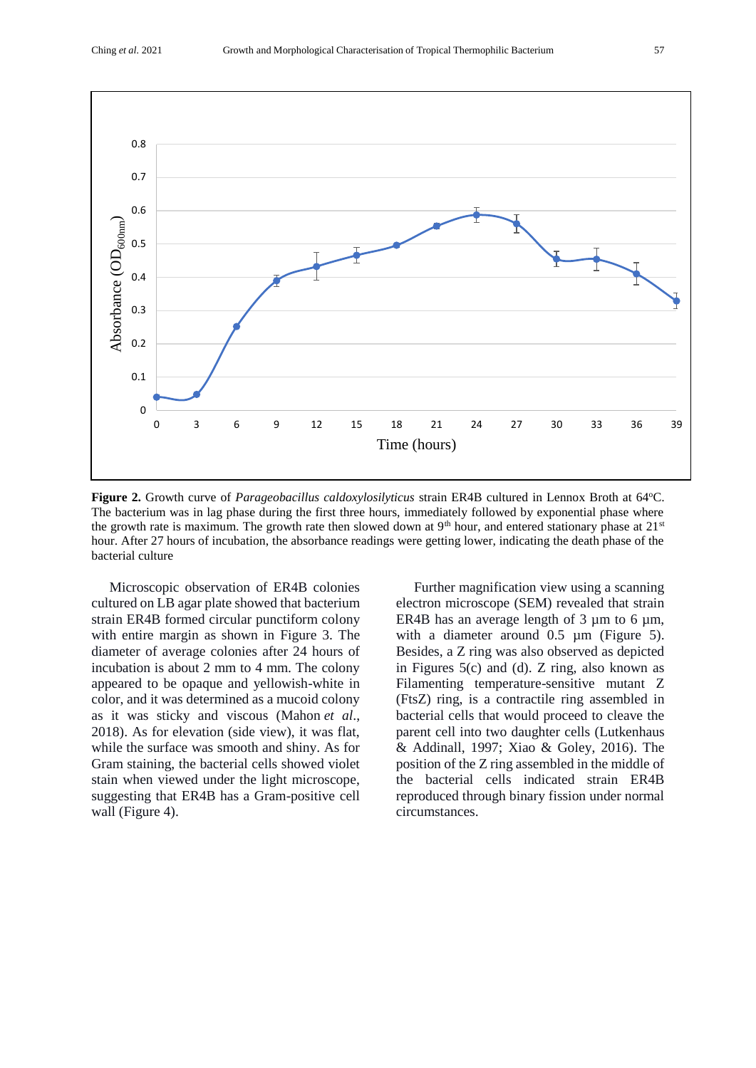

**Figure 2.** Growth curve of *Parageobacillus caldoxylosilyticus* strain ER4B cultured in Lennox Broth at 64°C. The bacterium was in lag phase during the first three hours, immediately followed by exponential phase where the growth rate is maximum. The growth rate then slowed down at  $9<sup>th</sup>$  hour, and entered stationary phase at  $21<sup>st</sup>$ hour. After 27 hours of incubation, the absorbance readings were getting lower, indicating the death phase of the bacterial culture

Microscopic observation of ER4B colonies cultured on LB agar plate showed that bacterium strain ER4B formed circular punctiform colony with entire margin as shown in Figure 3. The diameter of average colonies after 24 hours of incubation is about 2 mm to 4 mm. The colony appeared to be opaque and yellowish-white in color, and it was determined as a mucoid colony as it was sticky and viscous (Mahon *et al*., 2018). As for elevation (side view), it was flat, while the surface was smooth and shiny. As for Gram staining, the bacterial cells showed violet stain when viewed under the light microscope, suggesting that ER4B has a Gram-positive cell wall (Figure 4).

Further magnification view using a scanning electron microscope (SEM) revealed that strain ER4B has an average length of 3  $\mu$ m to 6  $\mu$ m, with a diameter around 0.5  $\mu$ m (Figure 5). Besides, a Z ring was also observed as depicted in Figures 5(c) and (d). Z ring, also known as Filamenting temperature-sensitive mutant Z (FtsZ) ring, is a contractile ring assembled in bacterial cells that would proceed to cleave the parent cell into two daughter cells (Lutkenhaus & Addinall, 1997; Xiao & Goley, 2016). The position of the Z ring assembled in the middle of the bacterial cells indicated strain ER4B reproduced through binary fission under normal circumstances.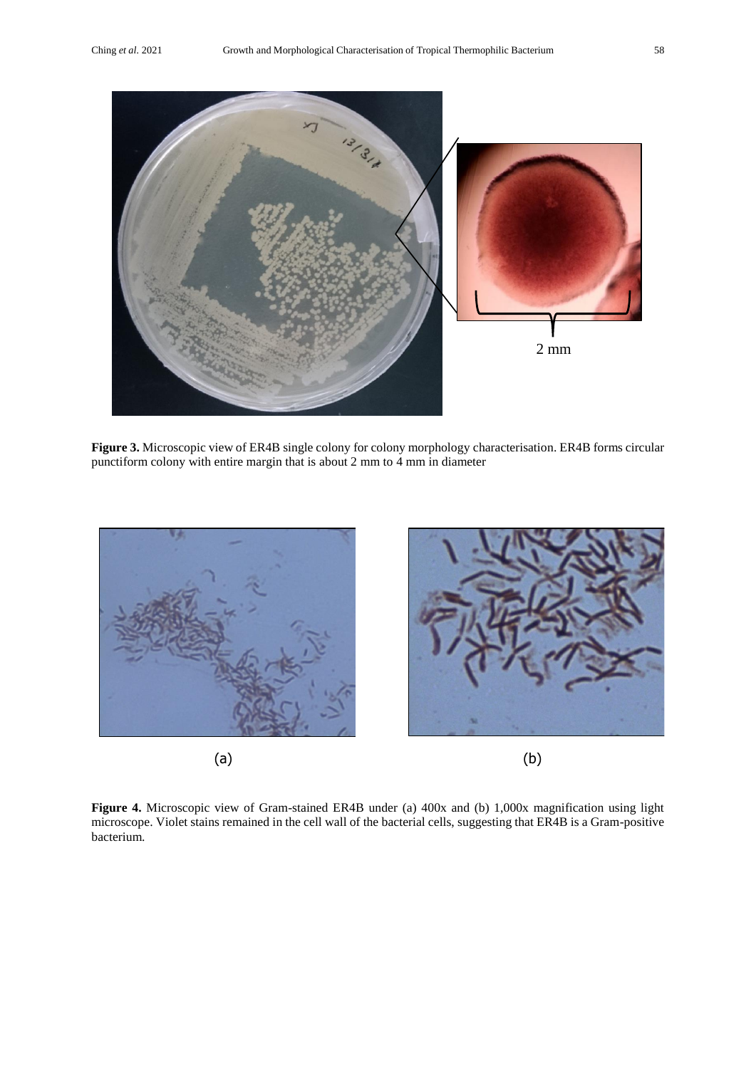

**Figure 3.** Microscopic view of ER4B single colony for colony morphology characterisation. ER4B forms circular punctiform colony with entire margin that is about 2 mm to 4 mm in diameter



**Figure 4.** Microscopic view of Gram-stained ER4B under (a) 400x and (b) 1,000x magnification using light microscope. Violet stains remained in the cell wall of the bacterial cells, suggesting that ER4B is a Gram-positive bacterium.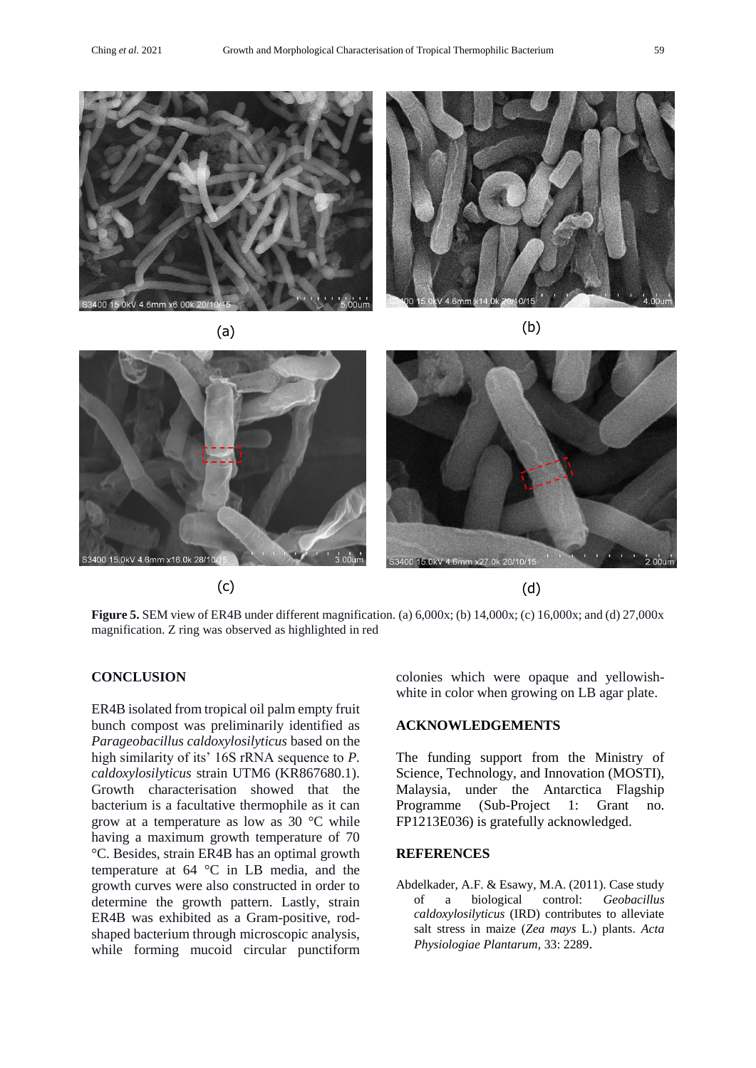

400 15.0kV 4.6mm x6.00k 20

 $\qquad \qquad \text{(a)}$ 



**Figure 5.** SEM view of ER4B under different magnification. (a) 6,000x; (b) 14,000x; (c) 16,000x; and (d) 27,000x magnification. Z ring was observed as highlighted in red

# **CONCLUSION**

ER4B isolated from tropical oil palm empty fruit bunch compost was preliminarily identified as *Parageobacillus caldoxylosilyticus* based on the high similarity of its' 16S rRNA sequence to *P. caldoxylosilyticus* strain UTM6 (KR867680.1). Growth characterisation showed that the bacterium is a facultative thermophile as it can grow at a temperature as low as 30 °C while having a maximum growth temperature of 70 °C. Besides, strain ER4B has an optimal growth temperature at 64 °C in LB media, and the growth curves were also constructed in order to determine the growth pattern. Lastly, strain ER4B was exhibited as a Gram-positive, rodshaped bacterium through microscopic analysis, while forming mucoid circular punctiform colonies which were opaque and yellowishwhite in color when growing on LB agar plate.

#### **ACKNOWLEDGEMENTS**

The funding support from the Ministry of Science, Technology, and Innovation (MOSTI), Malaysia, under the Antarctica Flagship Programme (Sub-Project 1: Grant no. FP1213E036) is gratefully acknowledged.

#### **REFERENCES**

Abdelkader, A.F. & Esawy, M.A. (2011). Case study of a biological control: *Geobacillus caldoxylosilyticus* (IRD) contributes to alleviate salt stress in maize (*Zea mays* L.) plants. *Acta Physiologiae Plantarum*, 33: 2289.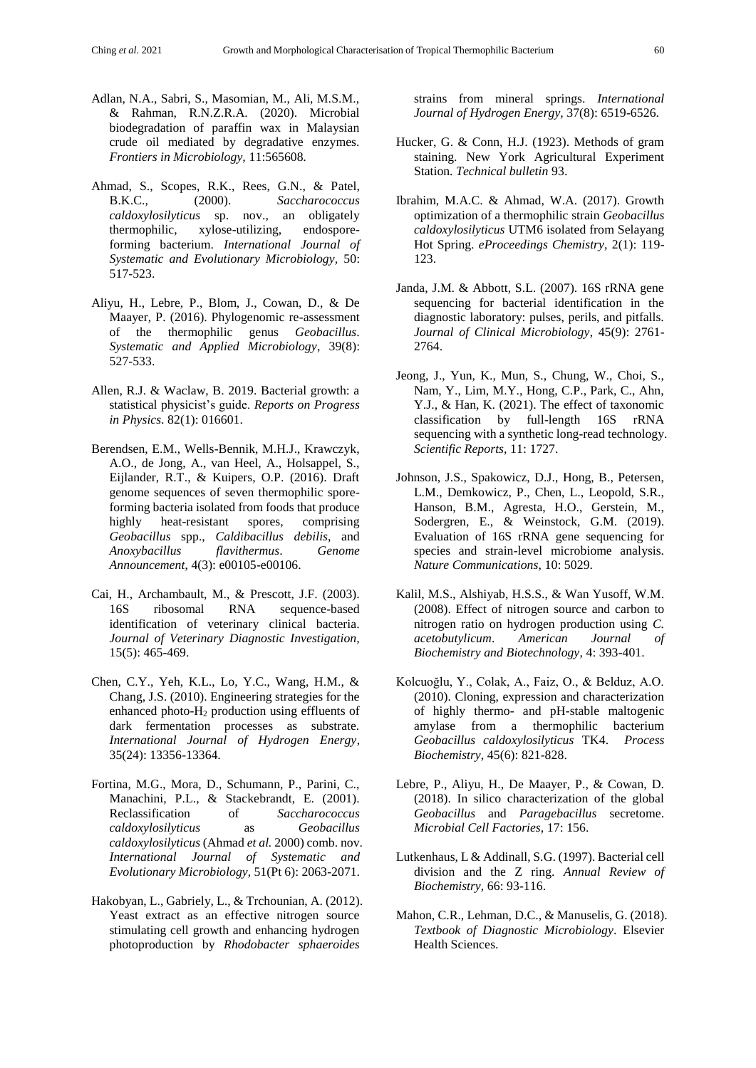- Adlan, N.A., Sabri, S., Masomian, M., Ali, M.S.M., & Rahman, R.N.Z.R.A. (2020). Microbial biodegradation of paraffin wax in Malaysian crude oil mediated by degradative enzymes. *Frontiers in Microbiology,* 11:565608*.*
- Ahmad, S., Scopes, R.K., Rees, G.N., & Patel, B.K.C., (2000). *Saccharococcus caldoxylosilyticus* sp. nov., an obligately thermophilic, xylose-utilizing, endosporeforming bacterium. *International Journal of Systematic and Evolutionary Microbiology,* 50: 517-523.
- Aliyu, H., Lebre, P., Blom, J., Cowan, D., & De Maayer, P. (2016). Phylogenomic re-assessment of the thermophilic genus *Geobacillus*. *Systematic and Applied Microbiology*, 39(8): 527-533.
- Allen, R.J. & Waclaw, B. 2019. Bacterial growth: a statistical physicist's guide. *Reports on Progress in Physics*. 82(1): 016601.
- Berendsen, E.M., Wells-Bennik, M.H.J., Krawczyk, A.O., de Jong, A., van Heel, A., Holsappel, S., Eijlander, R.T., & Kuipers, O.P. (2016). Draft genome sequences of seven thermophilic sporeforming bacteria isolated from foods that produce highly heat-resistant spores, comprising *Geobacillus* spp., *Caldibacillus debilis*, and *Anoxybacillus flavithermus*. *Genome Announcement*, 4(3): e00105-e00106.
- Cai, H., Archambault, M., & Prescott, J.F. (2003). 16S ribosomal RNA sequence-based identification of veterinary clinical bacteria. *Journal of Veterinary Diagnostic Investigation,* 15(5): 465-469.
- Chen, C.Y., Yeh, K.L., Lo, Y.C., Wang, H.M., & Chang, J.S. (2010). Engineering strategies for the enhanced photo-H<sup>2</sup> production using effluents of dark fermentation processes as substrate. *International Journal of Hydrogen Energy*, 35(24): 13356-13364.
- Fortina, M.G., Mora, D., Schumann, P., Parini, C., Manachini, P.L., & Stackebrandt, E. (2001). Reclassification of *Saccharococcus caldoxylosilyticus* as *Geobacillus caldoxylosilyticus* (Ahmad *et al.* 2000) comb. nov. *International Journal of Systematic and Evolutionary Microbiology*, 51(Pt 6): 2063-2071.
- Hakobyan, L., Gabriely, L., & Trchounian, A. (2012). Yeast extract as an effective nitrogen source stimulating cell growth and enhancing hydrogen photoproduction by *Rhodobacter sphaeroides*

strains from mineral springs. *International Journal of Hydrogen Energy,* 37(8): 6519-6526.

- Hucker, G. & Conn, H.J. (1923). Methods of gram staining. New York Agricultural Experiment Station. *Technical bulletin* 93.
- Ibrahim, M.A.C. & Ahmad, W.A. (2017). Growth optimization of a thermophilic strain *Geobacillus caldoxylosilyticus* UTM6 isolated from Selayang Hot Spring. *eProceedings Chemistry*, 2(1): 119- 123.
- Janda, J.M. & Abbott, S.L. (2007). 16S rRNA gene sequencing for bacterial identification in the diagnostic laboratory: pulses, perils, and pitfalls. *Journal of Clinical Microbiology*, 45(9): 2761- 2764.
- Jeong, J., Yun, K., Mun, S., Chung, W., Choi, S., Nam, Y., Lim, M.Y., Hong, C.P., Park, C., Ahn, Y.J., & Han, K. (2021). The effect of taxonomic classification by full-length 16S rRNA sequencing with a synthetic long-read technology. *Scientific Reports,* 11: 1727.
- Johnson, J.S., Spakowicz, D.J., Hong, B., Petersen, L.M., Demkowicz, P., Chen, L., Leopold, S.R., Hanson, B.M., Agresta, H.O., Gerstein, M., Sodergren, E., & Weinstock, G.M. (2019). Evaluation of 16S rRNA gene sequencing for species and strain-level microbiome analysis. *Nature Communications*, 10: 5029.
- Kalil, M.S., Alshiyab, H.S.S., & Wan Yusoff, W.M. (2008). Effect of nitrogen source and carbon to nitrogen ratio on hydrogen production using *C. acetobutylicum*. *American Journal of Biochemistry and Biotechnology*, 4: 393-401.
- Kolcuoğlu, Y., Colak, A., Faiz, O., & Belduz, A.O. (2010). Cloning, expression and characterization of highly thermo- and pH-stable maltogenic amylase from a thermophilic bacterium *Geobacillus caldoxylosilyticus* TK4. *Process Biochemistry*, 45(6): 821-828.
- Lebre, P., Aliyu, H., De Maayer, P., & Cowan, D. (2018). In silico characterization of the global *Geobacillus* and *Paragebacillus* secretome. *Microbial Cell Factories*, 17: 156.
- Lutkenhaus, L & Addinall, S.G. (1997). Bacterial cell division and the Z ring. *Annual Review of Biochemistry,* 66: 93-116.
- Mahon, C.R., Lehman, D.C., & Manuselis, G. (2018). *Textbook of Diagnostic Microbiology*. Elsevier Health Sciences.